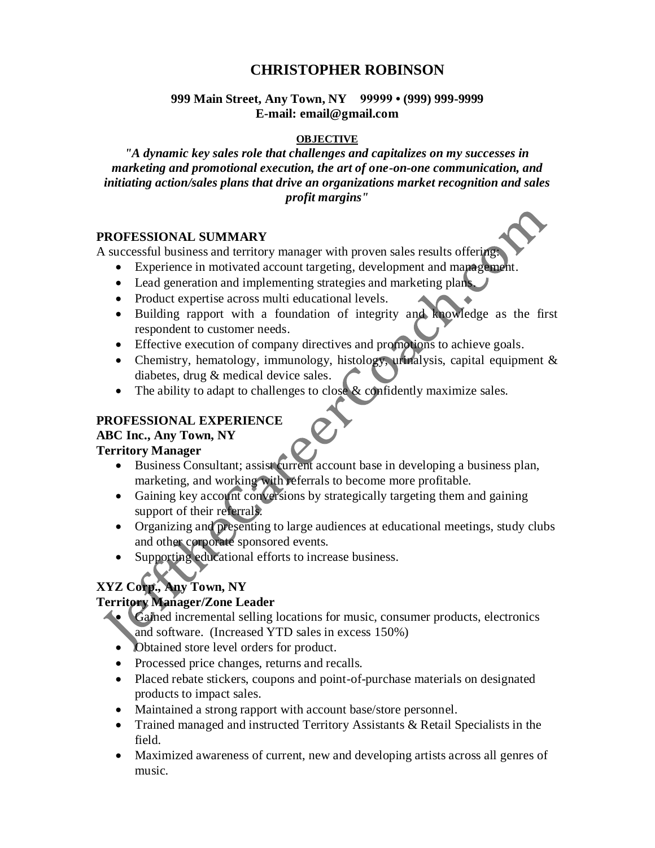# **CHRISTOPHER ROBINSON**

### **999 Main Street, Any Town, NY 99999 • (999) 999-9999 E-mail: email@gmail.com**

### **OBJECTIVE**

*"A dynamic key sales role that challenges and capitalizes on my successes in marketing and promotional execution, the art of one-on-one communication, and initiating action/sales plans that drive an organizations market recognition and sales profit margins"*

### **PROFESSIONAL SUMMARY**

A successful business and territory manager with proven sales results offering:

- Experience in motivated account targeting, development and management.
- Lead generation and implementing strategies and marketing plans.
- Product expertise across multi educational levels.
- Building rapport with a foundation of integrity and knowledge as the first respondent to customer needs.
- Effective execution of company directives and promotions to achieve goals.
- Chemistry, hematology, immunology, histology, urinalysis, capital equipment  $\&$ diabetes, drug & medical device sales.
- $\bullet$  The ability to adapt to challenges to close & confidently maximize sales.

# **PROFESSIONAL EXPERIENCE**

# **ABC Inc., Any Town, NY**

# **Territory Manager**

- Business Consultant; assist current account base in developing a business plan, marketing, and working with referrals to become more profitable.
- Gaining key account conversions by strategically targeting them and gaining support of their referrals.
- Organizing and presenting to large audiences at educational meetings, study clubs and other corporate sponsored events.
- Supporting educational efforts to increase business.

# **XYZ Corp., Any Town, NY**

# **Territory Manager/Zone Leader**

- Gained incremental selling locations for music, consumer products, electronics and software. (Increased YTD sales in excess 150%)
	- Obtained store level orders for product.
	- Processed price changes, returns and recalls.
	- Placed rebate stickers, coupons and point-of-purchase materials on designated products to impact sales.
	- Maintained a strong rapport with account base/store personnel.
	- Trained managed and instructed Territory Assistants & Retail Specialists in the field.
	- Maximized awareness of current, new and developing artists across all genres of music.